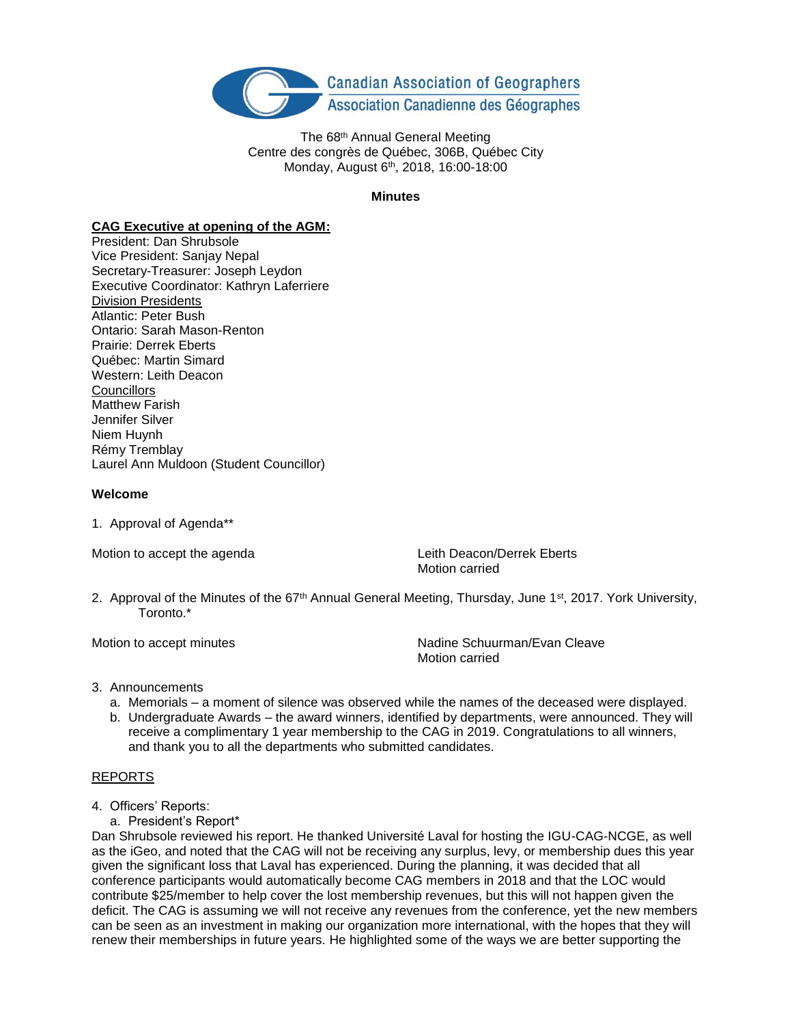

The 68<sup>th</sup> Annual General Meeting Centre des congrès de Québec, 306B, Québec City Monday, August 6<sup>th</sup>, 2018, 16:00-18:00

### **Minutes**

## **CAG Executive at opening of the AGM:**

President: Dan Shrubsole Vice President: Sanjay Nepal Secretary-Treasurer: Joseph Leydon Executive Coordinator: Kathryn Laferriere Division Presidents Atlantic: Peter Bush Ontario: Sarah Mason-Renton Prairie: Derrek Eberts Québec: Martin Simard Western: Leith Deacon **Councillors** Matthew Farish Jennifer Silver Niem Huynh Rémy Tremblay Laurel Ann Muldoon (Student Councillor)

### **Welcome**

1. Approval of Agenda\*\*

Motion to accept the agenda **Leith Deacon/Derrek Eberts** Motion carried

2. Approval of the Minutes of the 67<sup>th</sup> Annual General Meeting, Thursday, June 1<sup>st</sup>, 2017. York University, Toronto.\*

Motion to accept minutes  $N$  Nadine Schuurman/Evan Cleave Motion carried

## 3. Announcements

- a. Memorials a moment of silence was observed while the names of the deceased were displayed.
- b. Undergraduate Awards the award winners, identified by departments, were announced. They will receive a complimentary 1 year membership to the CAG in 2019. Congratulations to all winners, and thank you to all the departments who submitted candidates.

# REPORTS

- 4. Officers' Reports:
	- a. President's Report\*

Dan Shrubsole reviewed his report. He thanked Université Laval for hosting the IGU-CAG-NCGE, as well as the iGeo, and noted that the CAG will not be receiving any surplus, levy, or membership dues this year given the significant loss that Laval has experienced. During the planning, it was decided that all conference participants would automatically become CAG members in 2018 and that the LOC would contribute \$25/member to help cover the lost membership revenues, but this will not happen given the deficit. The CAG is assuming we will not receive any revenues from the conference, yet the new members can be seen as an investment in making our organization more international, with the hopes that they will renew their memberships in future years. He highlighted some of the ways we are better supporting the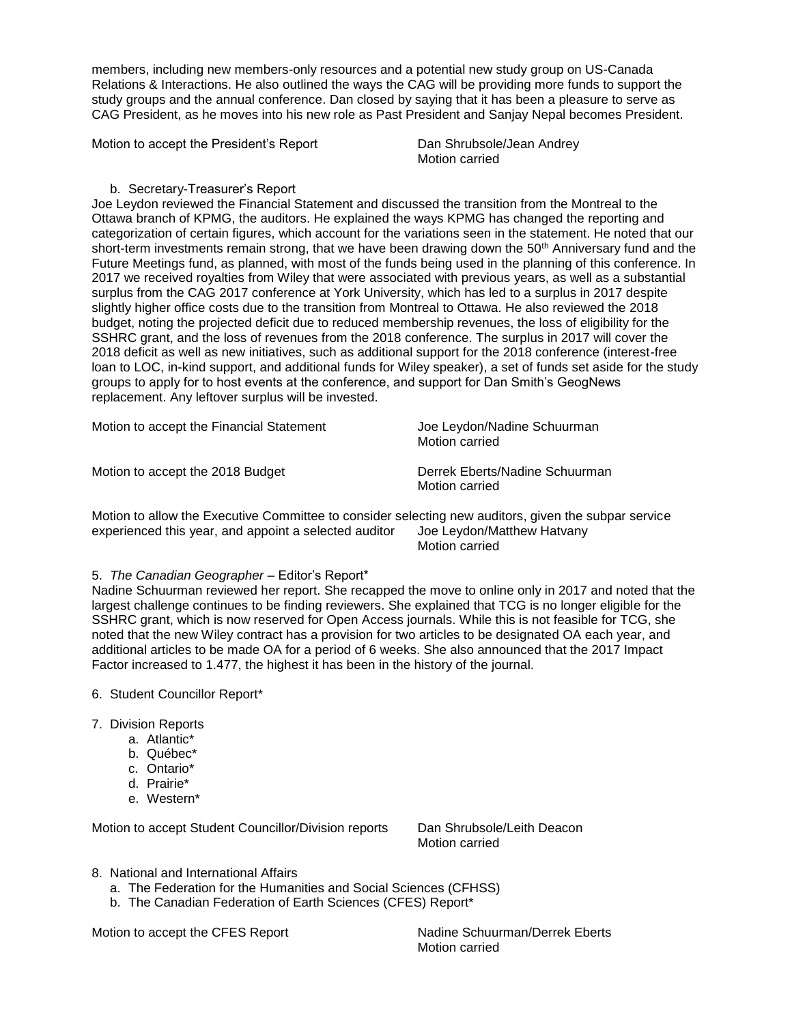members, including new members-only resources and a potential new study group on US-Canada Relations & Interactions. He also outlined the ways the CAG will be providing more funds to support the study groups and the annual conference. Dan closed by saying that it has been a pleasure to serve as CAG President, as he moves into his new role as Past President and Sanjay Nepal becomes President.

Motion to accept the President's Report **Dan Shrubsole/Jean Andrey** 

Motion carried

## b. Secretary-Treasurer's Report

Joe Leydon reviewed the Financial Statement and discussed the transition from the Montreal to the Ottawa branch of KPMG, the auditors. He explained the ways KPMG has changed the reporting and categorization of certain figures, which account for the variations seen in the statement. He noted that our short-term investments remain strong, that we have been drawing down the 50<sup>th</sup> Anniversary fund and the Future Meetings fund, as planned, with most of the funds being used in the planning of this conference. In 2017 we received royalties from Wiley that were associated with previous years, as well as a substantial surplus from the CAG 2017 conference at York University, which has led to a surplus in 2017 despite slightly higher office costs due to the transition from Montreal to Ottawa. He also reviewed the 2018 budget, noting the projected deficit due to reduced membership revenues, the loss of eligibility for the SSHRC grant, and the loss of revenues from the 2018 conference. The surplus in 2017 will cover the 2018 deficit as well as new initiatives, such as additional support for the 2018 conference (interest-free loan to LOC, in-kind support, and additional funds for Wiley speaker), a set of funds set aside for the study groups to apply for to host events at the conference, and support for Dan Smith's GeogNews replacement. Any leftover surplus will be invested.

| Motion to accept the Financial Statement |  |  |
|------------------------------------------|--|--|
|------------------------------------------|--|--|

Motion to accept the 2018 Budget **Derrek Eberts/Nadine Schuurman** 

Joe Leydon/Nadine Schuurman Motion carried

Motion carried

Motion to allow the Executive Committee to consider selecting new auditors, given the subpar service experienced this year, and appoint a selected auditor Joe Leydon/Matthew Hatvany Motion carried

### 5. *The Canadian Geographer* – Editor's Report\*

Nadine Schuurman reviewed her report. She recapped the move to online only in 2017 and noted that the largest challenge continues to be finding reviewers. She explained that TCG is no longer eligible for the SSHRC grant, which is now reserved for Open Access journals. While this is not feasible for TCG, she noted that the new Wiley contract has a provision for two articles to be designated OA each year, and additional articles to be made OA for a period of 6 weeks. She also announced that the 2017 Impact Factor increased to 1.477, the highest it has been in the history of the journal.

- 6. Student Councillor Report\*
- 7. Division Reports
	- a. Atlantic\*
	- b. Québec\*
	- c. Ontario\*
	- d. Prairie\*
	- e. Western\*

Motion to accept Student Councillor/Division reports Dan Shrubsole/Leith Deacon

Motion carried

- 8. National and International Affairs
	- a. The Federation for the Humanities and Social Sciences (CFHSS)
	- b. The Canadian Federation of Earth Sciences (CFES) Report\*

Motion to accept the CFES Report Nadine Schuurman/Derrek Eberts

Motion carried